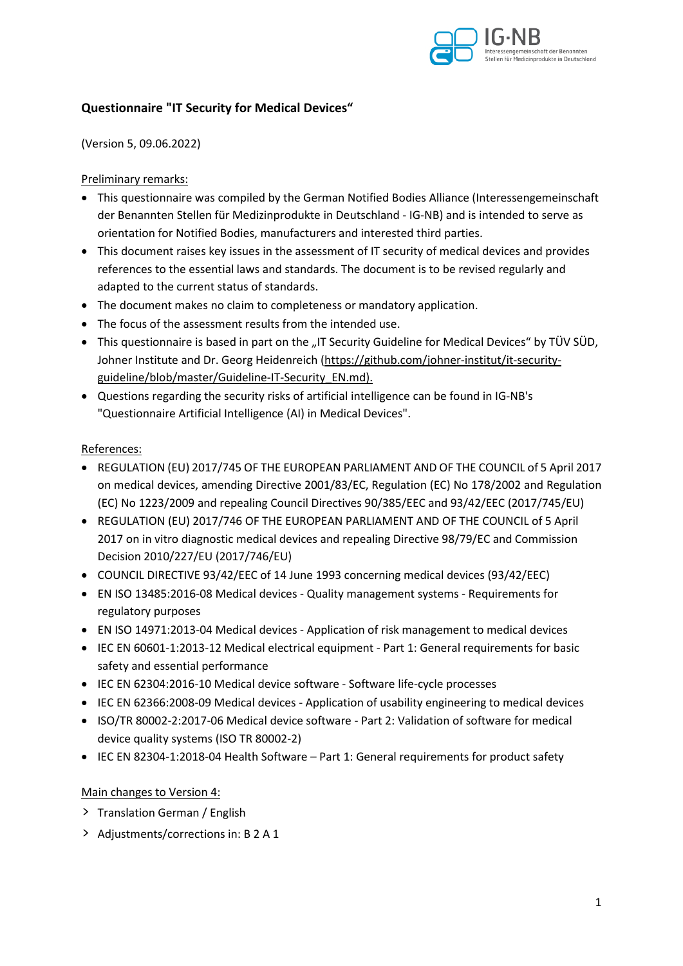

### **Questionnaire "IT Security for Medical Devices"**

(Version 5, 09.06.2022)

#### Preliminary remarks:

- This questionnaire was compiled by the German Notified Bodies Alliance (Interessengemeinschaft der Benannten Stellen für Medizinprodukte in Deutschland - IG-NB) and is intended to serve as orientation for Notified Bodies, manufacturers and interested third parties.
- This document raises key issues in the assessment of IT security of medical devices and provides references to the essential laws and standards. The document is to be revised regularly and adapted to the current status of standards.
- The document makes no claim to completeness or mandatory application.
- The focus of the assessment results from the intended use.
- This questionnaire is based in part on the "IT Security Guideline for Medical Devices" by TÜV SÜD, Johner Institute and Dr. Georg Heidenreich (https://github.com/johner-institut/it-securityguideline/blob/master/Guideline-IT-Security\_EN.md).
- Questions regarding the security risks of artificial intelligence can be found in IG-NB's "Questionnaire Artificial Intelligence (AI) in Medical Devices".

#### References:

- REGULATION (EU) 2017/745 OF THE EUROPEAN PARLIAMENT AND OF THE COUNCIL of 5 April 2017 on medical devices, amending Directive 2001/83/EC, Regulation (EC) No 178/2002 and Regulation (EC) No 1223/2009 and repealing Council Directives 90/385/EEC and 93/42/EEC (2017/745/EU)
- REGULATION (EU) 2017/746 OF THE EUROPEAN PARLIAMENT AND OF THE COUNCIL of 5 April 2017 on in vitro diagnostic medical devices and repealing Directive 98/79/EC and Commission Decision 2010/227/EU (2017/746/EU)
- COUNCIL DIRECTIVE 93/42/EEC of 14 June 1993 concerning medical devices (93/42/EEC)
- EN ISO 13485:2016-08 Medical devices Quality management systems Requirements for regulatory purposes
- EN ISO 14971:2013-04 Medical devices Application of risk management to medical devices
- IEC EN 60601-1:2013-12 Medical electrical equipment Part 1: General requirements for basic safety and essential performance
- IEC EN 62304:2016-10 Medical device software Software life-cycle processes
- IEC EN 62366:2008-09 Medical devices Application of usability engineering to medical devices
- ISO/TR 80002-2:2017-06 Medical device software Part 2: Validation of software for medical device quality systems (ISO TR 80002-2)
- IEC EN 82304-1:2018-04 Health Software Part 1: General requirements for product safety

#### Main changes to Version 4:

- > Translation German / English
- > Adjustments/corrections in: B 2 A 1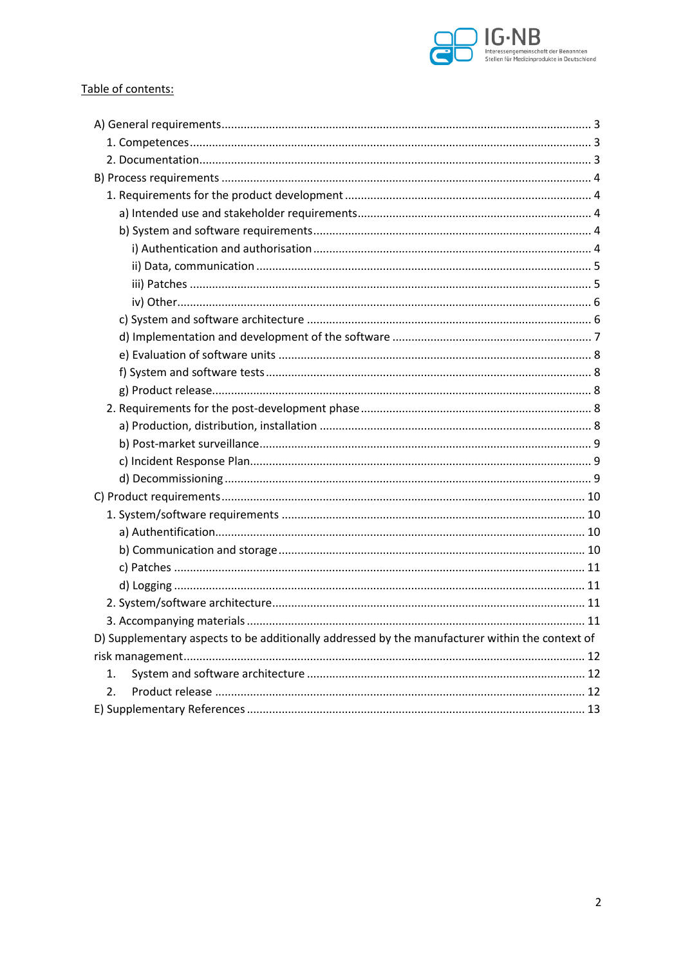

#### Table of contents:

| D) Supplementary aspects to be additionally addressed by the manufacturer within the context of |  |
|-------------------------------------------------------------------------------------------------|--|
|                                                                                                 |  |
| 1.                                                                                              |  |
| $\overline{2}$ .                                                                                |  |
|                                                                                                 |  |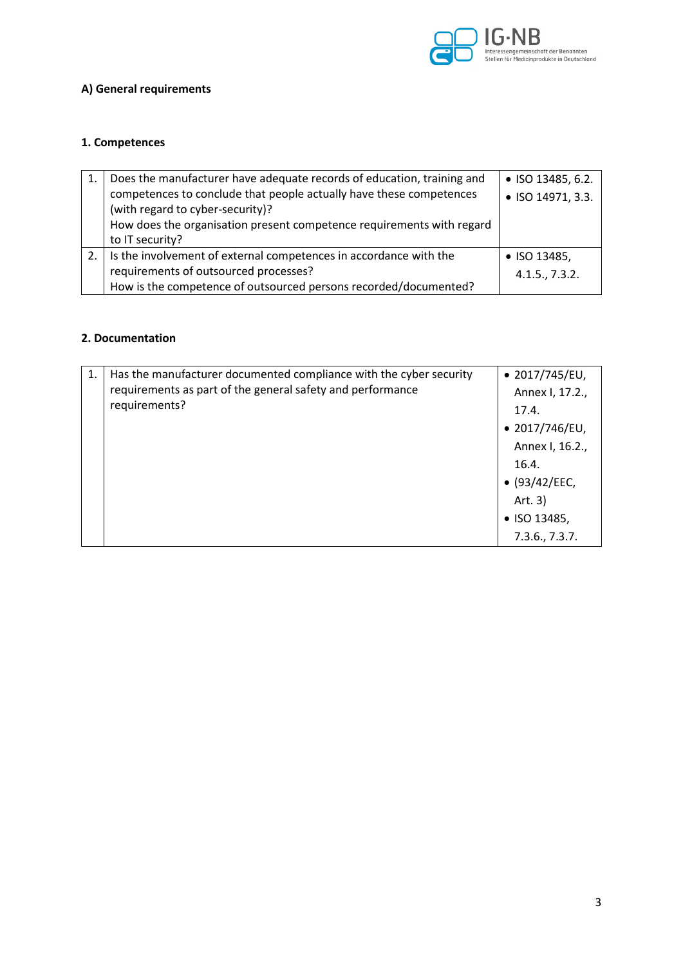

# **A) General requirements**

#### **1. Competences**

| Does the manufacturer have adequate records of education, training and | • ISO 13485, 6.2. |
|------------------------------------------------------------------------|-------------------|
| competences to conclude that people actually have these competences    | • ISO 14971, 3.3. |
| (with regard to cyber-security)?                                       |                   |
| How does the organisation present competence requirements with regard  |                   |
| to IT security?                                                        |                   |
| Is the involvement of external competences in accordance with the      | • ISO 13485,      |
| requirements of outsourced processes?                                  | 4.1.5., 7.3.2.    |
| How is the competence of outsourced persons recorded/documented?       |                   |

#### **2. Documentation**

| 1.            | Has the manufacturer documented compliance with the cyber security | $\bullet$ 2017/745/EU, |
|---------------|--------------------------------------------------------------------|------------------------|
|               | requirements as part of the general safety and performance         | Annex I, 17.2.,        |
| requirements? |                                                                    | 17.4.                  |
|               |                                                                    | $\bullet$ 2017/746/EU, |
|               |                                                                    | Annex I, 16.2.,        |
|               |                                                                    | 16.4.                  |
|               |                                                                    | • (93/42/EEC,          |
|               |                                                                    | Art. 3)                |
|               |                                                                    | • ISO 13485,           |
|               |                                                                    | 7.3.6., 7.3.7.         |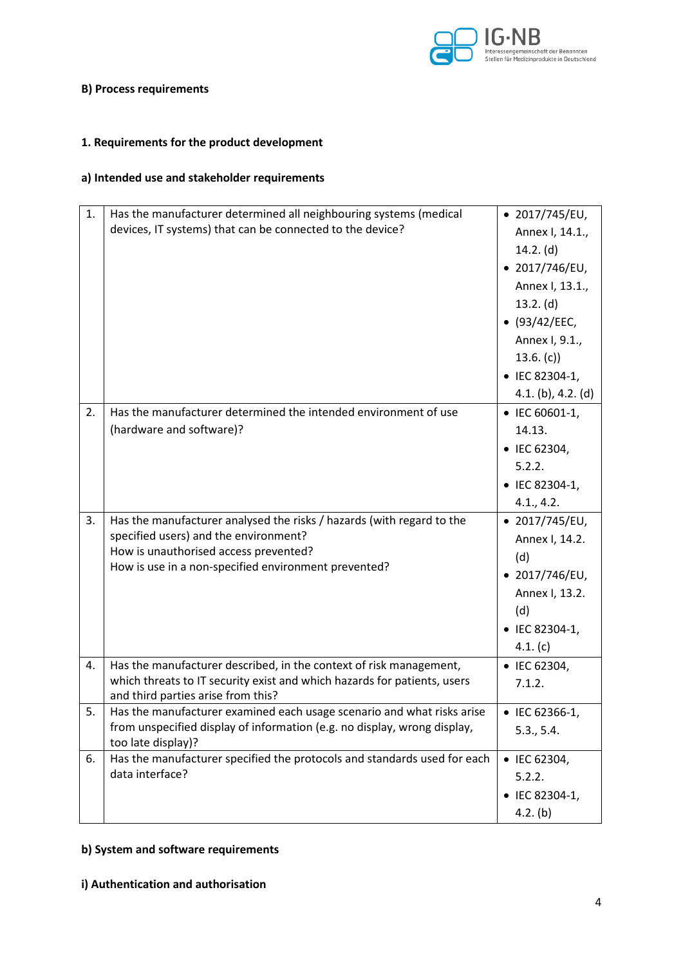

#### **B) Process requirements**

# **1. Requirements for the product development**

# **a) Intended use and stakeholder requirements**

| 1. | Has the manufacturer determined all neighbouring systems (medical<br>devices, IT systems) that can be connected to the device?                                                                                  | $\bullet$ 2017/745/EU,<br>Annex I, 14.1.,<br>$14.2.$ (d)<br>$\bullet$ 2017/746/EU,<br>Annex I, 13.1.,<br>13.2. (d)<br>(93/42/EEC,<br>Annex I, 9.1.,<br>13.6. (c)<br>• IEC 82304-1,<br>$4.1. (b)$ , $4.2. (d)$ |
|----|-----------------------------------------------------------------------------------------------------------------------------------------------------------------------------------------------------------------|---------------------------------------------------------------------------------------------------------------------------------------------------------------------------------------------------------------|
| 2. | Has the manufacturer determined the intended environment of use<br>(hardware and software)?                                                                                                                     | • IEC 60601-1,<br>14.13.<br>• IEC 62304,<br>5.2.2.<br>• IEC 82304-1,<br>4.1, 4.2.                                                                                                                             |
| 3. | Has the manufacturer analysed the risks / hazards (with regard to the<br>specified users) and the environment?<br>How is unauthorised access prevented?<br>How is use in a non-specified environment prevented? | $\bullet$ 2017/745/EU,<br>Annex I, 14.2.<br>(d)<br>$\bullet$ 2017/746/EU,<br>Annex I, 13.2.<br>(d)<br>• IEC 82304-1,<br>4.1. (c)                                                                              |
| 4. | Has the manufacturer described, in the context of risk management,<br>which threats to IT security exist and which hazards for patients, users<br>and third parties arise from this?                            | • IEC 62304,<br>7.1.2.                                                                                                                                                                                        |
| 5. | Has the manufacturer examined each usage scenario and what risks arise<br>from unspecified display of information (e.g. no display, wrong display,<br>too late display)?                                        | • IEC 62366-1,<br>5.3., 5.4.                                                                                                                                                                                  |
| 6. | Has the manufacturer specified the protocols and standards used for each<br>data interface?                                                                                                                     | • IEC 62304,<br>5.2.2.<br>• IEC 82304-1,<br>4.2. (b)                                                                                                                                                          |

# **b) System and software requirements**

#### **i) Authentication and authorisation**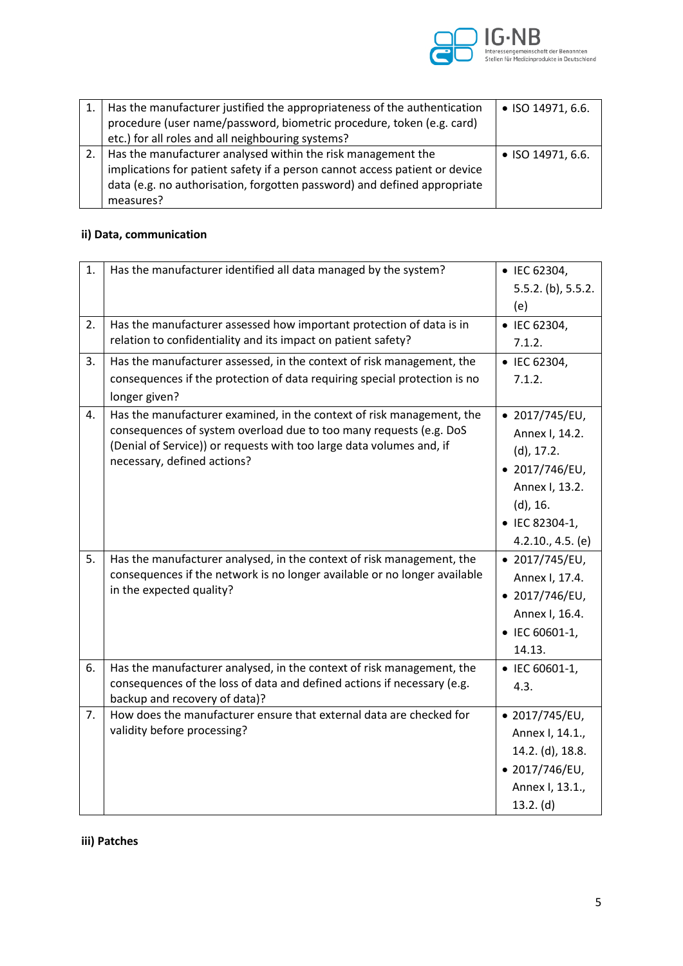

| 1.   Has the manufacturer justified the appropriateness of the authentication<br>procedure (user name/password, biometric procedure, token (e.g. card) | • ISO 14971, 6.6. |
|--------------------------------------------------------------------------------------------------------------------------------------------------------|-------------------|
| etc.) for all roles and all neighbouring systems?                                                                                                      |                   |
|                                                                                                                                                        |                   |
| 2.   Has the manufacturer analysed within the risk management the                                                                                      | • ISO 14971, 6.6. |
| implications for patient safety if a person cannot access patient or device                                                                            |                   |
| data (e.g. no authorisation, forgotten password) and defined appropriate                                                                               |                   |
| measures?                                                                                                                                              |                   |

# **ii) Data, communication**

| 1. | Has the manufacturer identified all data managed by the system?                                                                                                                                                                                    | • IEC 62304,<br>5.5.2. (b), 5.5.2.<br>(e)                                                                                                             |
|----|----------------------------------------------------------------------------------------------------------------------------------------------------------------------------------------------------------------------------------------------------|-------------------------------------------------------------------------------------------------------------------------------------------------------|
| 2. | Has the manufacturer assessed how important protection of data is in<br>relation to confidentiality and its impact on patient safety?                                                                                                              | • IEC 62304,<br>7.1.2.                                                                                                                                |
| 3. | Has the manufacturer assessed, in the context of risk management, the<br>consequences if the protection of data requiring special protection is no<br>longer given?                                                                                | • IEC 62304,<br>7.1.2.                                                                                                                                |
| 4. | Has the manufacturer examined, in the context of risk management, the<br>consequences of system overload due to too many requests (e.g. DoS<br>(Denial of Service)) or requests with too large data volumes and, if<br>necessary, defined actions? | $\bullet$ 2017/745/EU,<br>Annex I, 14.2.<br>(d), 17.2.<br>$\bullet$ 2017/746/EU,<br>Annex I, 13.2.<br>(d), 16.<br>• IEC 82304-1,<br>4.2.10., 4.5. (e) |
| 5. | Has the manufacturer analysed, in the context of risk management, the<br>consequences if the network is no longer available or no longer available<br>in the expected quality?                                                                     | $\bullet$ 2017/745/EU,<br>Annex I, 17.4.<br>$\bullet$ 2017/746/EU,<br>Annex I, 16.4.<br>• IEC 60601-1,<br>14.13.                                      |
| 6. | Has the manufacturer analysed, in the context of risk management, the<br>consequences of the loss of data and defined actions if necessary (e.g.<br>backup and recovery of data)?                                                                  | • IEC 60601-1,<br>4.3.                                                                                                                                |
| 7. | How does the manufacturer ensure that external data are checked for<br>validity before processing?                                                                                                                                                 | • 2017/745/EU,<br>Annex I, 14.1.,<br>14.2. (d), 18.8.<br>• 2017/746/EU,<br>Annex I, 13.1.,<br>13.2. (d)                                               |

**iii) Patches**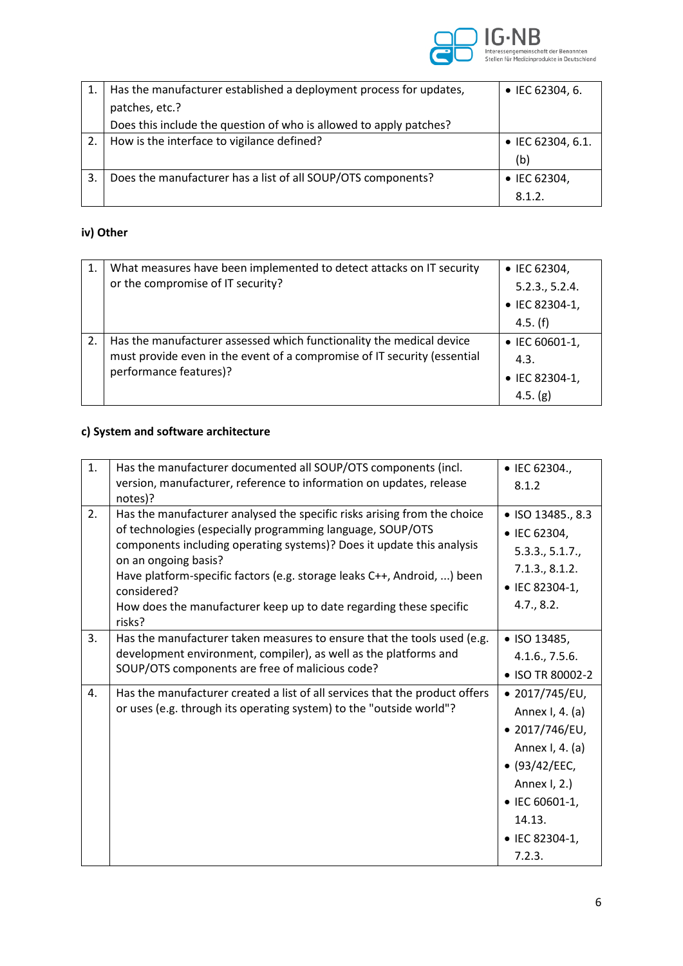

|    | Has the manufacturer established a deployment process for updates, | $\bullet$ IEC 62304, 6. |
|----|--------------------------------------------------------------------|-------------------------|
|    | patches, etc.?                                                     |                         |
|    | Does this include the question of who is allowed to apply patches? |                         |
|    | How is the interface to vigilance defined?                         | • IEC 62304, 6.1.       |
|    |                                                                    | (b)                     |
| 3. | Does the manufacturer has a list of all SOUP/OTS components?       | • IEC 62304,            |
|    |                                                                    | 8.1.2.                  |

### **iv) Other**

| 1. | What measures have been implemented to detect attacks on IT security     | $\bullet$ IEC 62304, |
|----|--------------------------------------------------------------------------|----------------------|
|    | or the compromise of IT security?                                        | 5.2.3., 5.2.4.       |
|    |                                                                          | • IEC 82304-1,       |
|    |                                                                          | 4.5.(f)              |
|    | Has the manufacturer assessed which functionality the medical device     | • IEC 60601-1,       |
|    | must provide even in the event of a compromise of IT security (essential | 4.3.                 |
|    | performance features)?                                                   | • IEC 82304-1,       |
|    |                                                                          | 4.5. $(g)$           |

# **c) System and software architecture**

| 1. | Has the manufacturer documented all SOUP/OTS components (incl.<br>version, manufacturer, reference to information on updates, release<br>notes)?                                                                                                                                                                                                                                                                  | • IEC 62304.,<br>8.1.2                                                                                                                                          |
|----|-------------------------------------------------------------------------------------------------------------------------------------------------------------------------------------------------------------------------------------------------------------------------------------------------------------------------------------------------------------------------------------------------------------------|-----------------------------------------------------------------------------------------------------------------------------------------------------------------|
| 2. | Has the manufacturer analysed the specific risks arising from the choice<br>of technologies (especially programming language, SOUP/OTS<br>components including operating systems)? Does it update this analysis<br>on an ongoing basis?<br>Have platform-specific factors (e.g. storage leaks C++, Android, ) been<br>considered?<br>How does the manufacturer keep up to date regarding these specific<br>risks? | • ISO 13485., 8.3<br>• IEC 62304,<br>5.3.3., 5.1.7.,<br>7.1.3., 8.1.2.<br>• IEC 82304-1,<br>4.7., 8.2.                                                          |
| 3. | Has the manufacturer taken measures to ensure that the tools used (e.g.<br>development environment, compiler), as well as the platforms and<br>SOUP/OTS components are free of malicious code?                                                                                                                                                                                                                    | • ISO 13485,<br>4.1.6., 7.5.6.<br>• ISO TR 80002-2                                                                                                              |
| 4. | Has the manufacturer created a list of all services that the product offers<br>or uses (e.g. through its operating system) to the "outside world"?                                                                                                                                                                                                                                                                | • 2017/745/EU,<br>Annex I, 4. (a)<br>• 2017/746/EU,<br>Annex I, 4. (a)<br>• (93/42/EEC,<br>Annex I, 2.)<br>• IEC 60601-1,<br>14.13.<br>• IEC 82304-1,<br>7.2.3. |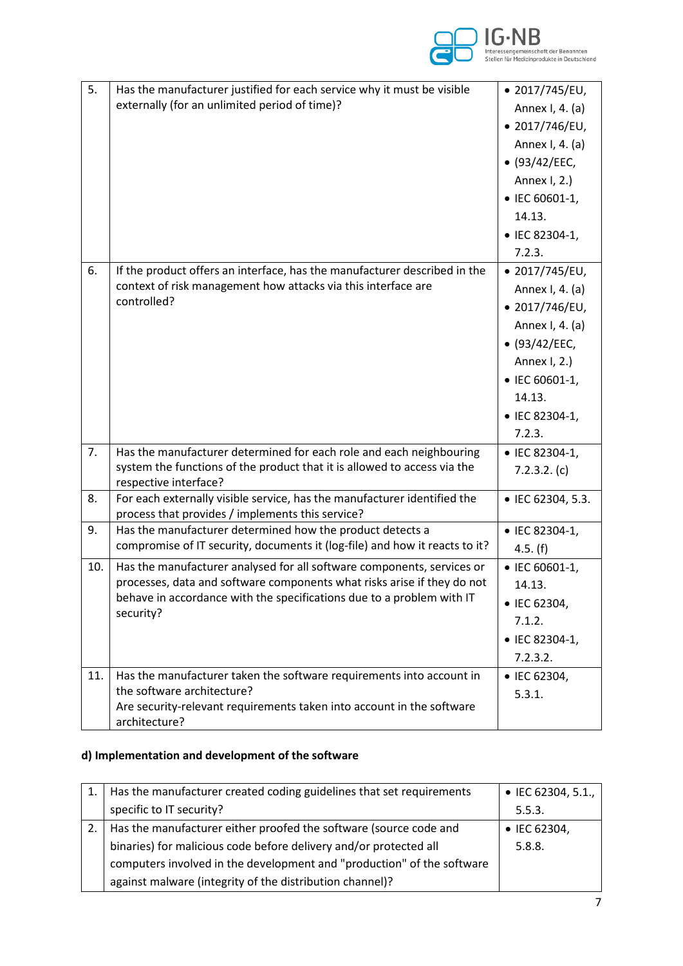

| 5.  | Has the manufacturer justified for each service why it must be visible<br>externally (for an unlimited period of time)?                                                                                                                 | • 2017/745/EU,<br>Annex I, 4. (a)<br>• 2017/746/EU,<br>Annex I, 4. (a)<br>• (93/42/EEC,<br>Annex I, 2.)<br>• IEC 60601-1,<br>14.13.<br>• IEC 82304-1,<br>7.2.3. |
|-----|-----------------------------------------------------------------------------------------------------------------------------------------------------------------------------------------------------------------------------------------|-----------------------------------------------------------------------------------------------------------------------------------------------------------------|
| 6.  | If the product offers an interface, has the manufacturer described in the<br>context of risk management how attacks via this interface are<br>controlled?                                                                               | • 2017/745/EU,<br>Annex I, 4. (a)<br>• 2017/746/EU,<br>Annex I, 4. (a)<br>• (93/42/EEC,<br>Annex I, 2.)<br>• IEC 60601-1,<br>14.13.<br>• IEC 82304-1,<br>7.2.3. |
| 7.  | Has the manufacturer determined for each role and each neighbouring<br>system the functions of the product that it is allowed to access via the<br>respective interface?                                                                | • IEC 82304-1,<br>7.2.3.2. (c)                                                                                                                                  |
| 8.  | For each externally visible service, has the manufacturer identified the<br>process that provides / implements this service?                                                                                                            | • IEC 62304, 5.3.                                                                                                                                               |
| 9.  | Has the manufacturer determined how the product detects a<br>compromise of IT security, documents it (log-file) and how it reacts to it?                                                                                                | • IEC 82304-1,<br>4.5. (f)                                                                                                                                      |
| 10. | Has the manufacturer analysed for all software components, services or<br>processes, data and software components what risks arise if they do not<br>behave in accordance with the specifications due to a problem with IT<br>security? | • IEC 60601-1,<br>14.13.<br>• IEC 62304,<br>7.1.2.<br>• IEC 82304-1,<br>7.2.3.2.                                                                                |
| 11. | Has the manufacturer taken the software requirements into account in<br>the software architecture?<br>Are security-relevant requirements taken into account in the software<br>architecture?                                            | • IEC 62304,<br>5.3.1.                                                                                                                                          |

# **d) Implementation and development of the software**

| Has the manufacturer created coding guidelines that set requirements   | • IEC 62304, 5.1.,   |
|------------------------------------------------------------------------|----------------------|
| specific to IT security?                                               | 5.5.3.               |
| Has the manufacturer either proofed the software (source code and      | $\bullet$ IEC 62304, |
| binaries) for malicious code before delivery and/or protected all      | 5.8.8.               |
| computers involved in the development and "production" of the software |                      |
| against malware (integrity of the distribution channel)?               |                      |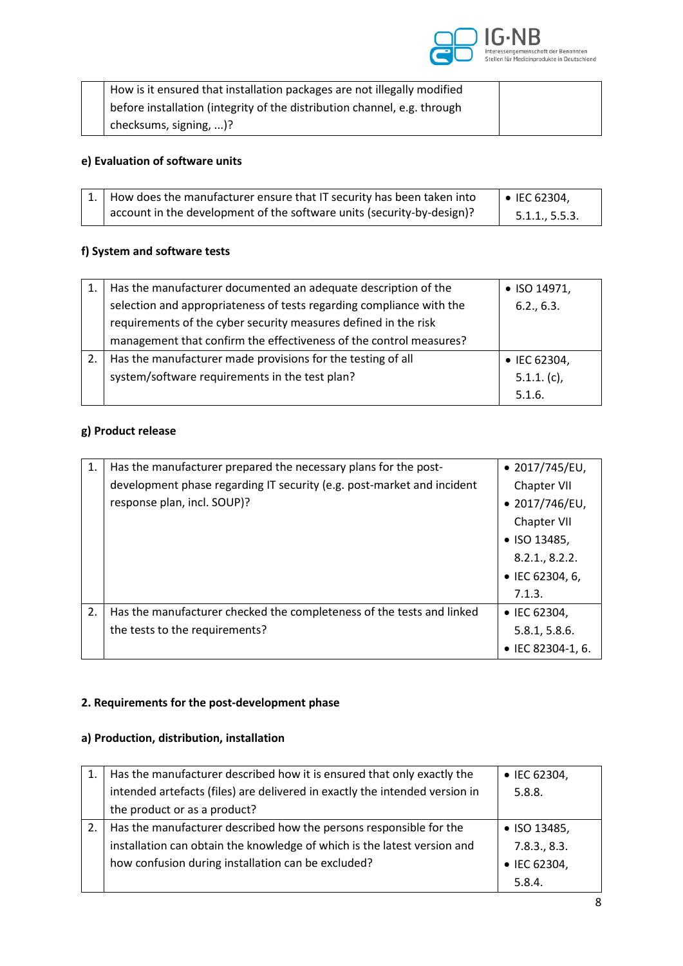

| How is it ensured that installation packages are not illegally modified  |  |
|--------------------------------------------------------------------------|--|
| before installation (integrity of the distribution channel, e.g. through |  |
| checksums, signing, )?                                                   |  |

# **e) Evaluation of software units**

|  | $\vert 1. \vert$ How does the manufacturer ensure that IT security has been taken into | $\bullet$ IEC 62304, |
|--|----------------------------------------------------------------------------------------|----------------------|
|  | account in the development of the software units (security-by-design)?                 | 5.1.1, 5.5.3.        |

### **f) System and software tests**

| Has the manufacturer documented an adequate description of the       | • ISO 14971,   |
|----------------------------------------------------------------------|----------------|
| selection and appropriateness of tests regarding compliance with the | 6.2., 6.3.     |
| requirements of the cyber security measures defined in the risk      |                |
| management that confirm the effectiveness of the control measures?   |                |
| Has the manufacturer made provisions for the testing of all          | • IEC 62304,   |
| system/software requirements in the test plan?                       | $5.1.1. (c)$ , |
|                                                                      | 5.1.6.         |

# **g) Product release**

| 1. | Has the manufacturer prepared the necessary plans for the post-        | $\bullet$ 2017/745/EU, |
|----|------------------------------------------------------------------------|------------------------|
|    | development phase regarding IT security (e.g. post-market and incident | Chapter VII            |
|    | response plan, incl. SOUP)?                                            | $\bullet$ 2017/746/EU, |
|    |                                                                        | Chapter VII            |
|    |                                                                        | $\bullet$ ISO 13485,   |
|    |                                                                        | 8.2.1, 8.2.2.          |
|    |                                                                        | • IEC 62304, 6,        |
|    |                                                                        | 7.1.3.                 |
| 2. | Has the manufacturer checked the completeness of the tests and linked  | • IEC 62304,           |
|    | the tests to the requirements?                                         | 5.8.1, 5.8.6.          |
|    |                                                                        | • IEC 82304-1, 6.      |

# **2. Requirements for the post-development phase**

#### **a) Production, distribution, installation**

| Has the manufacturer described how it is ensured that only exactly the      | • IEC 62304, |
|-----------------------------------------------------------------------------|--------------|
| intended artefacts (files) are delivered in exactly the intended version in | 5.8.8.       |
| the product or as a product?                                                |              |
| Has the manufacturer described how the persons responsible for the          | • ISO 13485, |
| installation can obtain the knowledge of which is the latest version and    | 7.8.3., 8.3. |
| how confusion during installation can be excluded?                          | • IEC 62304, |
|                                                                             | 5.8.4.       |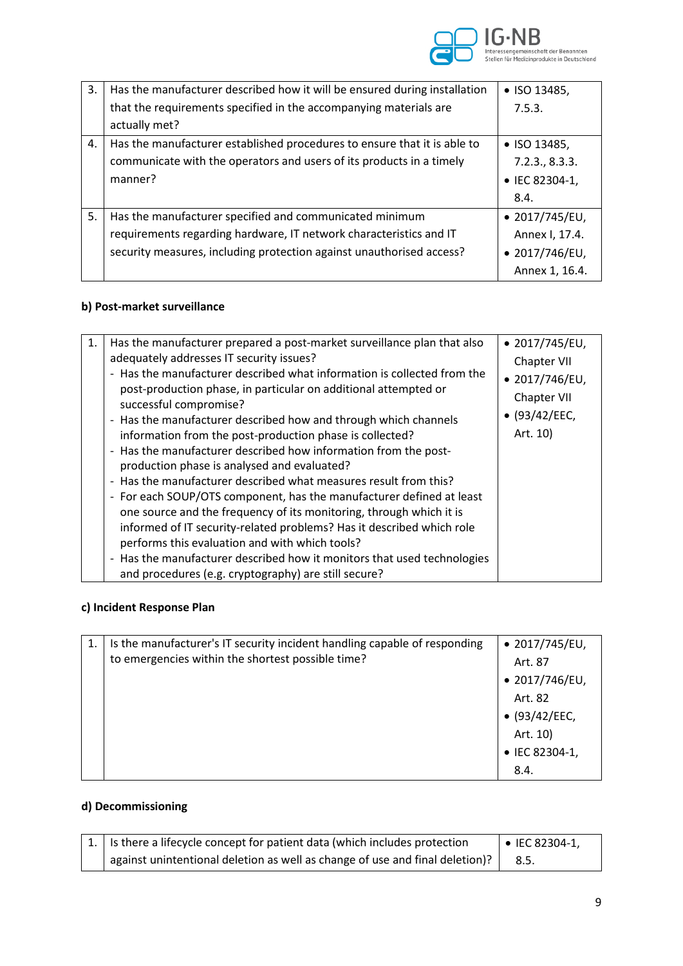

| 3. | Has the manufacturer described how it will be ensured during installation | $\bullet$ ISO 13485,   |
|----|---------------------------------------------------------------------------|------------------------|
|    | that the requirements specified in the accompanying materials are         | 7.5.3.                 |
|    | actually met?                                                             |                        |
| 4. | Has the manufacturer established procedures to ensure that it is able to  | • ISO 13485,           |
|    | communicate with the operators and users of its products in a timely      | 7.2.3., 8.3.3.         |
|    | manner?                                                                   | • IEC 82304-1,         |
|    |                                                                           | 8.4.                   |
| 5. | Has the manufacturer specified and communicated minimum                   | $\bullet$ 2017/745/EU, |
|    | requirements regarding hardware, IT network characteristics and IT        | Annex I, 17.4.         |
|    | security measures, including protection against unauthorised access?      | $\bullet$ 2017/746/EU, |
|    |                                                                           | Annex 1, 16.4.         |

# **b) Post-market surveillance**

| and procedures (e.g. cryptography) are still secure? |  | Has the manufacturer prepared a post-market surveillance plan that also<br>1.<br>adequately addresses IT security issues?<br>- Has the manufacturer described what information is collected from the<br>post-production phase, in particular on additional attempted or<br>successful compromise?<br>- Has the manufacturer described how and through which channels<br>information from the post-production phase is collected?<br>- Has the manufacturer described how information from the post-<br>production phase is analysed and evaluated?<br>- Has the manufacturer described what measures result from this?<br>- For each SOUP/OTS component, has the manufacturer defined at least<br>one source and the frequency of its monitoring, through which it is<br>informed of IT security-related problems? Has it described which role<br>performs this evaluation and with which tools?<br>- Has the manufacturer described how it monitors that used technologies | $\bullet$ 2017/745/EU,<br>Chapter VII<br>$\bullet$ 2017/746/EU,<br>Chapter VII<br>$\bullet$ (93/42/EEC,<br>Art. 10) |
|------------------------------------------------------|--|-----------------------------------------------------------------------------------------------------------------------------------------------------------------------------------------------------------------------------------------------------------------------------------------------------------------------------------------------------------------------------------------------------------------------------------------------------------------------------------------------------------------------------------------------------------------------------------------------------------------------------------------------------------------------------------------------------------------------------------------------------------------------------------------------------------------------------------------------------------------------------------------------------------------------------------------------------------------------------|---------------------------------------------------------------------------------------------------------------------|
|------------------------------------------------------|--|-----------------------------------------------------------------------------------------------------------------------------------------------------------------------------------------------------------------------------------------------------------------------------------------------------------------------------------------------------------------------------------------------------------------------------------------------------------------------------------------------------------------------------------------------------------------------------------------------------------------------------------------------------------------------------------------------------------------------------------------------------------------------------------------------------------------------------------------------------------------------------------------------------------------------------------------------------------------------------|---------------------------------------------------------------------------------------------------------------------|

### **c) Incident Response Plan**

| Is the manufacturer's IT security incident handling capable of responding | $\bullet$ 2017/745/EU, |
|---------------------------------------------------------------------------|------------------------|
| to emergencies within the shortest possible time?                         | Art. 87                |
|                                                                           | $\bullet$ 2017/746/EU, |
|                                                                           | Art. 82                |
|                                                                           | (93/42/EEC,            |
|                                                                           | Art. 10)               |
|                                                                           | • IEC 82304-1,         |
|                                                                           | 8.4.                   |

# **d) Decommissioning**

|  | $\vert$ 1. $\vert$ is there a lifecycle concept for patient data (which includes protection | $\bullet$ IEC 82304-1, |
|--|---------------------------------------------------------------------------------------------|------------------------|
|  | against unintentional deletion as well as change of use and final deletion)?                | 8.5.                   |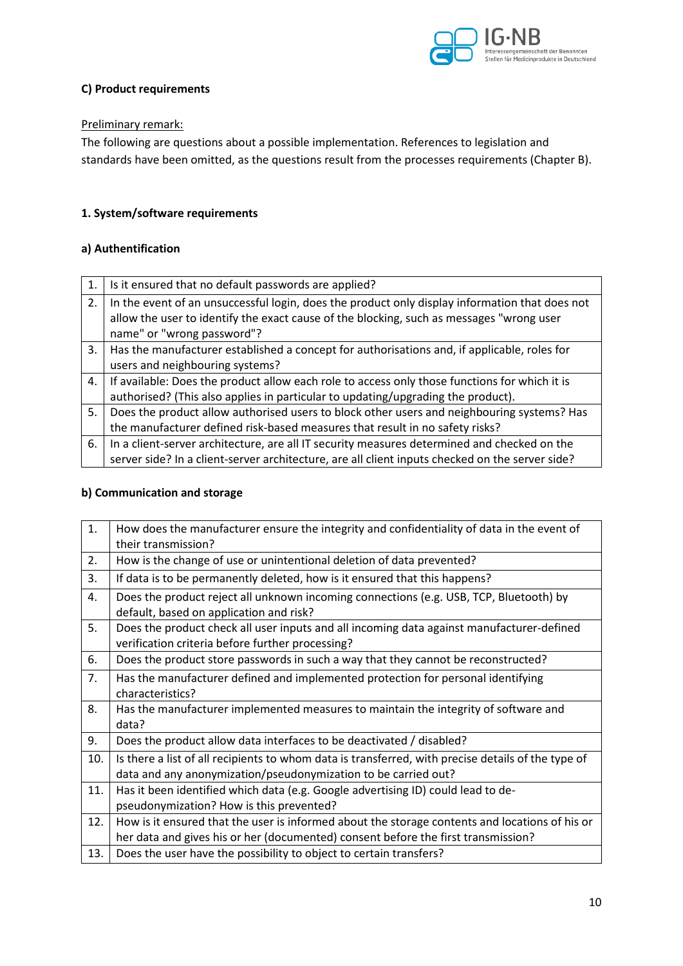

#### **C) Product requirements**

#### Preliminary remark:

The following are questions about a possible implementation. References to legislation and standards have been omitted, as the questions result from the processes requirements (Chapter B).

#### **1. System/software requirements**

#### **a) Authentification**

| 1. | Is it ensured that no default passwords are applied?                                            |
|----|-------------------------------------------------------------------------------------------------|
| 2. | In the event of an unsuccessful login, does the product only display information that does not  |
|    | allow the user to identify the exact cause of the blocking, such as messages "wrong user        |
|    | name" or "wrong password"?                                                                      |
| 3. | Has the manufacturer established a concept for authorisations and, if applicable, roles for     |
|    | users and neighbouring systems?                                                                 |
| 4. | If available: Does the product allow each role to access only those functions for which it is   |
|    | authorised? (This also applies in particular to updating/upgrading the product).                |
| 5. | Does the product allow authorised users to block other users and neighbouring systems? Has      |
|    | the manufacturer defined risk-based measures that result in no safety risks?                    |
| 6. | In a client-server architecture, are all IT security measures determined and checked on the     |
|    | server side? In a client-server architecture, are all client inputs checked on the server side? |

### **b) Communication and storage**

| 1.  | How does the manufacturer ensure the integrity and confidentiality of data in the event of         |
|-----|----------------------------------------------------------------------------------------------------|
|     | their transmission?                                                                                |
| 2.  | How is the change of use or unintentional deletion of data prevented?                              |
| 3.  | If data is to be permanently deleted, how is it ensured that this happens?                         |
| 4.  | Does the product reject all unknown incoming connections (e.g. USB, TCP, Bluetooth) by             |
|     | default, based on application and risk?                                                            |
| 5.  | Does the product check all user inputs and all incoming data against manufacturer-defined          |
|     | verification criteria before further processing?                                                   |
| 6.  | Does the product store passwords in such a way that they cannot be reconstructed?                  |
| 7.  | Has the manufacturer defined and implemented protection for personal identifying                   |
|     | characteristics?                                                                                   |
| 8.  | Has the manufacturer implemented measures to maintain the integrity of software and                |
|     | data?                                                                                              |
| 9.  | Does the product allow data interfaces to be deactivated / disabled?                               |
| 10. | Is there a list of all recipients to whom data is transferred, with precise details of the type of |
|     | data and any anonymization/pseudonymization to be carried out?                                     |
| 11. | Has it been identified which data (e.g. Google advertising ID) could lead to de-                   |
|     | pseudonymization? How is this prevented?                                                           |
| 12. | How is it ensured that the user is informed about the storage contents and locations of his or     |
|     | her data and gives his or her (documented) consent before the first transmission?                  |
| 13. | Does the user have the possibility to object to certain transfers?                                 |
|     |                                                                                                    |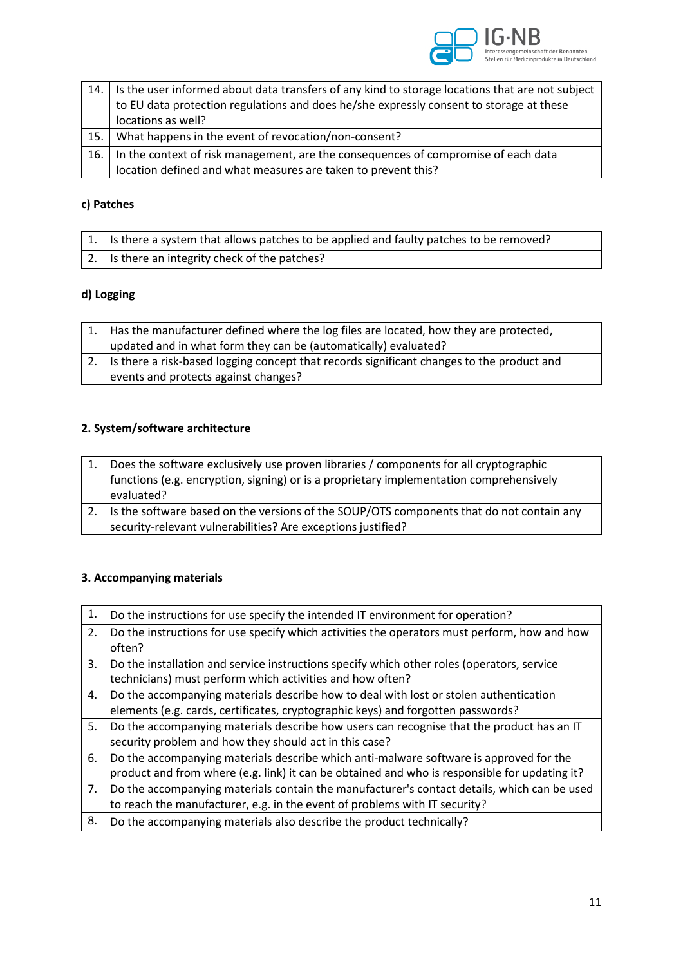

|      | 14. Is the user informed about data transfers of any kind to storage locations that are not subject |
|------|-----------------------------------------------------------------------------------------------------|
|      | to EU data protection regulations and does he/she expressly consent to storage at these             |
|      | locations as well?                                                                                  |
| 15.  | What happens in the event of revocation/non-consent?                                                |
| 16.1 | In the context of risk management, are the consequences of compromise of each data                  |
|      | location defined and what measures are taken to prevent this?                                       |

# **c) Patches**

| $\vert$ 1. $\vert$ is there a system that allows patches to be applied and faulty patches to be removed? |
|----------------------------------------------------------------------------------------------------------|
| 2.   Is there an integrity check of the patches?                                                         |

# **d) Logging**

| 1.   Has the manufacturer defined where the log files are located, how they are protected,   |
|----------------------------------------------------------------------------------------------|
| updated and in what form they can be (automatically) evaluated?                              |
| 2. Is there a risk-based logging concept that records significant changes to the product and |
| events and protects against changes?                                                         |

# **2. System/software architecture**

| Does the software exclusively use proven libraries / components for all cryptographic       |
|---------------------------------------------------------------------------------------------|
| functions (e.g. encryption, signing) or is a proprietary implementation comprehensively     |
| evaluated?                                                                                  |
| 2. Is the software based on the versions of the SOUP/OTS components that do not contain any |
| security-relevant vulnerabilities? Are exceptions justified?                                |

# **3. Accompanying materials**

| 1. | Do the instructions for use specify the intended IT environment for operation?                |
|----|-----------------------------------------------------------------------------------------------|
| 2. | Do the instructions for use specify which activities the operators must perform, how and how  |
|    | often?                                                                                        |
| 3. | Do the installation and service instructions specify which other roles (operators, service    |
|    | technicians) must perform which activities and how often?                                     |
| 4. | Do the accompanying materials describe how to deal with lost or stolen authentication         |
|    | elements (e.g. cards, certificates, cryptographic keys) and forgotten passwords?              |
| 5. | Do the accompanying materials describe how users can recognise that the product has an IT     |
|    | security problem and how they should act in this case?                                        |
| 6. | Do the accompanying materials describe which anti-malware software is approved for the        |
|    | product and from where (e.g. link) it can be obtained and who is responsible for updating it? |
| 7. | Do the accompanying materials contain the manufacturer's contact details, which can be used   |
|    | to reach the manufacturer, e.g. in the event of problems with IT security?                    |
| 8. | Do the accompanying materials also describe the product technically?                          |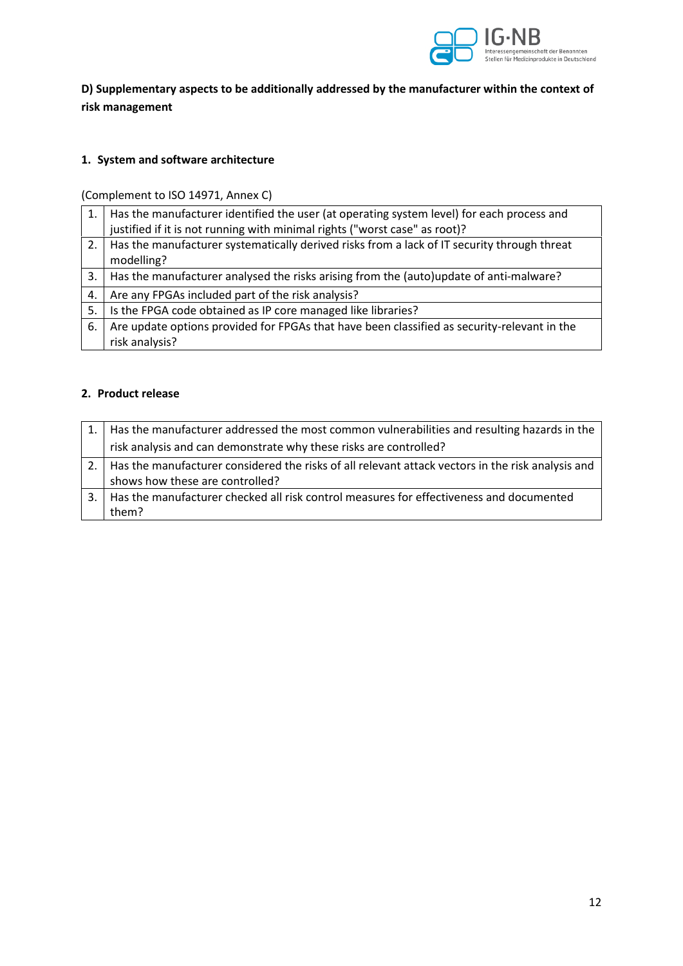

**D) Supplementary aspects to be additionally addressed by the manufacturer within the context of risk management** 

### **1. System and software architecture**

(Complement to ISO 14971, Annex C)

| 1. | Has the manufacturer identified the user (at operating system level) for each process and   |
|----|---------------------------------------------------------------------------------------------|
|    | justified if it is not running with minimal rights ("worst case" as root)?                  |
| 2. | Has the manufacturer systematically derived risks from a lack of IT security through threat |
|    | modelling?                                                                                  |
| 3. | Has the manufacturer analysed the risks arising from the (auto)update of anti-malware?      |
| 4. | Are any FPGAs included part of the risk analysis?                                           |
| 5. | Is the FPGA code obtained as IP core managed like libraries?                                |
| 6. | Are update options provided for FPGAs that have been classified as security-relevant in the |
|    | risk analysis?                                                                              |

#### **2. Product release**

| 1.   Has the manufacturer addressed the most common vulnerabilities and resulting hazards in the       |
|--------------------------------------------------------------------------------------------------------|
| risk analysis and can demonstrate why these risks are controlled?                                      |
| 2.   Has the manufacturer considered the risks of all relevant attack vectors in the risk analysis and |
| shows how these are controlled?                                                                        |
| 3.   Has the manufacturer checked all risk control measures for effectiveness and documented           |
| them?                                                                                                  |